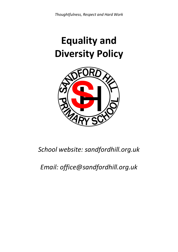# **Equality and Diversity Policy**



# *School website: sandfordhill.org.uk*

# *Email: office@sandfordhill.org.uk*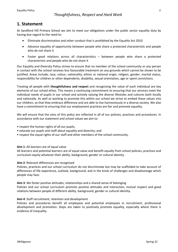# **1. Statement**

At Sandford Hill Primary School we aim to meet our obligations under the public sector equality duty by having due regard to the need to:

- Eliminate discrimination and other conduct that is prohibited by the Equality Act 2010
- Advance equality of opportunity between people who share a protected characteristic and people who do not share it
- Foster good relations across all characteristics between people who share a protected characteristic and people who do not share it

Our Equality and Diversity Policy strives to ensure that no member of the school community or any person in contact with the school receives less favourable treatment on any grounds which cannot be shown to be justified. Areas include; race, colour, nationality, ethnic or national origin, religion, gender, marital status, responsibility for children or other dependents, disability, sexual orientation, age or spent convictions.

Treating all people with **thoughtfulness and respect** and recognising the value of each individual are key elements of our school ethos. This means a continuing commitment to ensuring that our services meet the individual needs of pupils in our school and actively valuing the diverse lifestyles and cultures both locally and nationally. As well as working to promote this within our school we strive to embed these values into our children, so that they embrace difference and are able to live harmoniously in a diverse society. We also have a commitment to ensuring that our employment practices are fair and promote equality.

We will ensure that the aims of this policy are reflected in all of our policies, practices and procedures. In accordance with our statement and school values we aim to:

- respect the human rights of all our pupils;
- educate our pupils and staff about equality and diversity; and
- respect the equal rights of our staff and other members of the school community.

#### **Aim 1**: All learners are of equal value

All learners and potential learners are of equal value and benefit equally from school policies, practices and curriculum equity whatever their ability, background, gender or cultural identity.

#### **Aim 2**: Relevant differences are recognised

Policies, practices and our school curriculum do not discriminate but may be scaffolded to take account of differences of life experience, outlook, background, and in the kinds of challenges and disadvantage which people may face.

**Aim 3**: We foster positive attitudes, relationships and a shared sense of belonging

Policies and our school curriculum promote positive attitudes and interaction, mutual respect and good relations between people of different ability, background, gender or cultural identity.

#### **Aim 4**: Staff recruitment, retention and development

Policies and procedures benefit all employees and potential employees in recruitment, professional development and promotion. Steps are taken to positively promote equality, especially where there is evidence of inequality.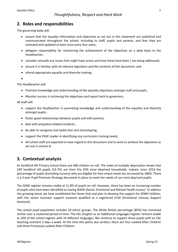# **2. Roles and responsibilities**

The governing body will:

- ensure that the equality information and objectives as set out in this statement are published and communicated throughout the school, including to staff, pupils and parents, and that they are reviewed and updated at least once every four years;
- delegate responsibility for monitoring the achievement of the objectives on a daily basis to the Headteacher;
- consider annually any issues that might have arisen and how these have been / are being addressed;
- ensure it is familiar with all relevant legislation and the contents of this document; and
- attend appropriate equality and diversity training.

•

#### The Headteacher will:

- Promote knowledge and understanding of the equality objectives amongst staff and pupils;
- Monitor success in achieving the objectives and report back to governors;

All staff will:

- support the headteacher in promoting knowledge and understanding of the equality and diversity amongst pupils;
- foster good relationships between pupils and with parents;
- deal with prejudice-related incidents;
- be able to recognise and tackle bias and stereotyping;
- support the PSHE Leader in identifying any curriculum training needs;
- All school staff are expected to have regard to this document and to work to achieve the objectives as set out in section 8.

# **3. Contextual analysis**

At Sandford Hill Primary School there are 468 children on roll. The Index of multiple deprivation shows that 249 Sandford Hill pupils (52.7%) are from the 20% most deprived households. Indeed, since 2016 the percentage of pupils (excluding nursery) who are eligible for free school meals has increased by 186%. There is a 3-year Pupil Premium Strategy document in place to meet the needs of our most deprived pupils.

The SEND register remains stable at 11.8% of pupils on roll. However, there has been an increasing number of pupils who have been identified as having SEMH (Social, Emotional and Mental Health issues). To address this growing trend, we have established the Home Hub and plan to develop the support for SEMH children, with the senior inclusion support assistant qualified as a registered ELSA (Emotional Literacy Support Assistant).

The school pupil population includes 20 ethnic groups. The White British percentage (85%) has remained similar over a sustained period of time. The EAL (English as an Additional Language) register remains stable at 10% of the school register with 24 different languages. We continue to support these pupils with an EAL teaching assistant 3 days a week. At the time this policy was written, there are four Looked After Children and three Previously Looked After Children.

3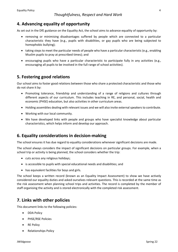# **4. Advancing equality of opportunity**

As set out in the DfE guidance on the Equality Act, the school aims to advance equality of opportunity by:

- removing or minimising disadvantages suffered by people which are connected to a particular characteristic they have (e.g., pupils with disabilities, or gay pupils who are being subjected to homophobic bullying);
- taking steps to meet the particular needs of people who have a particular characteristic (e.g., enabling Muslim pupils to pray at prescribed times); and
- encouraging pupils who have a particular characteristic to participate fully in any activities (e.g., encouraging all pupils to be involved in the full range of school activities).

# **5. Fostering good relations**

Our school aims to foster good relations between those who share a protected characteristic and those who do not share it by:

- Promoting tolerance, friendship and understanding of a range of religions and cultures through different aspects of our curriculum. This includes teaching in RE, and personal, social, health and economic (PHSE) education, but also activities in other curriculum areas.
- Holding assemblies dealing with relevant issues and we will also invite external speakers to contribute.
- Working with our local community.
- We have developed links with people and groups who have specialist knowledge about particular characteristics, which helps inform and develop our approach.

### **6. Equality considerations in decision-making**

The school ensures it has due regard to equality considerations whenever significant decisions are made.

The school always considers the impact of significant decisions on particular groups. For example, when a school trip or activity is being planned, the school considers whether the trip:

- cuts across any religious holidays;
- is accessible to pupils with special educational needs and disabilities; and
- has equivalent facilities for boys and girls.

The school keeps a written record (known as an Equality Impact Assessment) to show we have actively considered our equality duties and asked ourselves relevant questions. This is recorded at the same time as the risk assessment when planning school trips and activities. The record is completed by the member of staff organising the activity and is stored electronically with the completed risk assessment.

### **7. Links with other policies**

This document links to the following policies:

- DDA Policy
- PHSE/RSE Policies
- RE Policy
- Relationships Policy